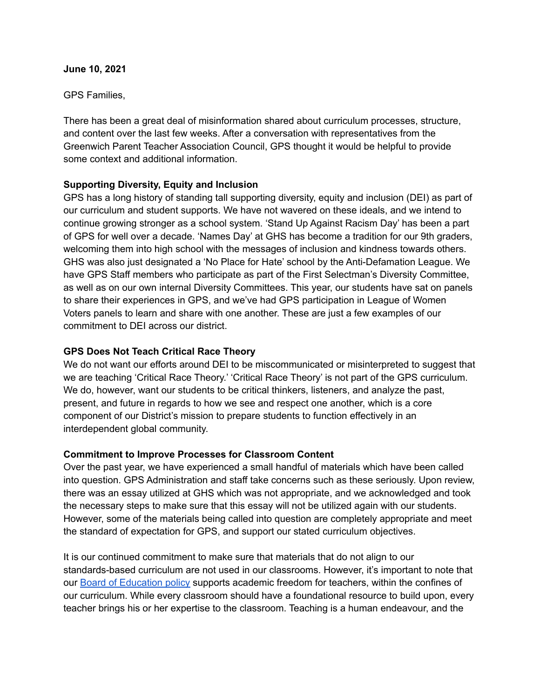#### **June 10, 2021**

### GPS Families,

There has been a great deal of misinformation shared about curriculum processes, structure, and content over the last few weeks. After a conversation with representatives from the Greenwich Parent Teacher Association Council, GPS thought it would be helpful to provide some context and additional information.

# **Supporting Diversity, Equity and Inclusion**

GPS has a long history of standing tall supporting diversity, equity and inclusion (DEI) as part of our curriculum and student supports. We have not wavered on these ideals, and we intend to continue growing stronger as a school system. 'Stand Up Against Racism Day' has been a part of GPS for well over a decade. 'Names Day' at GHS has become a tradition for our 9th graders, welcoming them into high school with the messages of inclusion and kindness towards others. GHS was also just designated a 'No Place for Hate' school by the Anti-Defamation League. We have GPS Staff members who participate as part of the First Selectman's Diversity Committee, as well as on our own internal Diversity Committees. This year, our students have sat on panels to share their experiences in GPS, and we've had GPS participation in League of Women Voters panels to learn and share with one another. These are just a few examples of our commitment to DEI across our district.

## **GPS Does Not Teach Critical Race Theory**

We do not want our efforts around DEI to be miscommunicated or misinterpreted to suggest that we are teaching 'Critical Race Theory.' 'Critical Race Theory' is not part of the GPS curriculum. We do, however, want our students to be critical thinkers, listeners, and analyze the past, present, and future in regards to how we see and respect one another, which is a core component of our District's mission to prepare students to function effectively in an interdependent global community.

### **Commitment to Improve Processes for Classroom Content**

Over the past year, we have experienced a small handful of materials which have been called into question. GPS Administration and staff take concerns such as these seriously. Upon review, there was an essay utilized at GHS which was not appropriate, and we acknowledged and took the necessary steps to make sure that this essay will not be utilized again with our students. However, some of the materials being called into question are completely appropriate and meet the standard of expectation for GPS, and support our stated curriculum objectives.

It is our continued commitment to make sure that materials that do not align to our standards-based curriculum are not used in our classrooms. However, it's important to note that our Board of [Education](http://go.boarddocs.com/ct/greenwich/Board.nsf/goto?open&id=B8GT8372FB0F) policy supports academic freedom for teachers, within the confines of our curriculum. While every classroom should have a foundational resource to build upon, every teacher brings his or her expertise to the classroom. Teaching is a human endeavour, and the